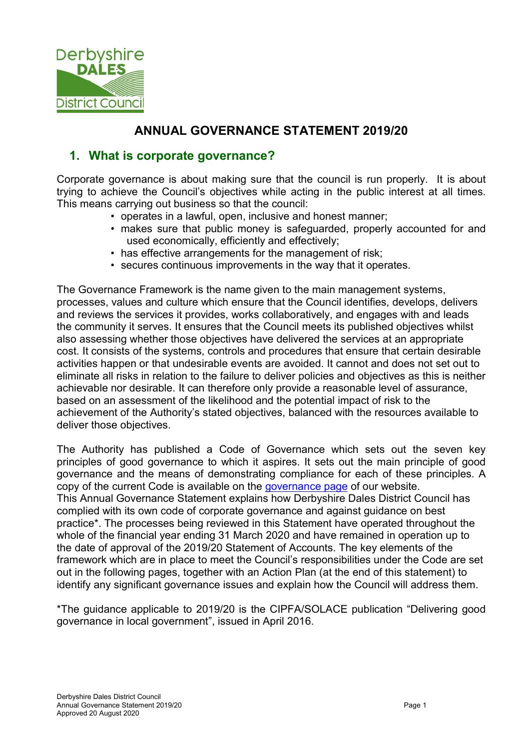

# ANNUAL GOVERNANCE STATEMENT 2019/20

### 1. What is corporate governance?

Corporate governance is about making sure that the council is run properly. It is about trying to achieve the Council's objectives while acting in the public interest at all times. This means carrying out business so that the council:

- operates in a lawful, open, inclusive and honest manner;
- makes sure that public money is safeguarded, properly accounted for and used economically, efficiently and effectively;
- has effective arrangements for the management of risk;
- secures continuous improvements in the way that it operates.

The Governance Framework is the name given to the main management systems, processes, values and culture which ensure that the Council identifies, develops, delivers and reviews the services it provides, works collaboratively, and engages with and leads the community it serves. It ensures that the Council meets its published objectives whilst also assessing whether those objectives have delivered the services at an appropriate cost. It consists of the systems, controls and procedures that ensure that certain desirable activities happen or that undesirable events are avoided. It cannot and does not set out to eliminate all risks in relation to the failure to deliver policies and objectives as this is neither achievable nor desirable. It can therefore only provide a reasonable level of assurance, based on an assessment of the likelihood and the potential impact of risk to the achievement of the Authority's stated objectives, balanced with the resources available to deliver those objectives.

The Authority has published a Code of Governance which sets out the seven key principles of good governance to which it aspires. It sets out the main principle of good governance and the means of demonstrating compliance for each of these principles. A copy of the current Code is available on the governance page of our website. This Annual Governance Statement explains how Derbyshire Dales District Council has

complied with its own code of corporate governance and against guidance on best practice\*. The processes being reviewed in this Statement have operated throughout the whole of the financial year ending 31 March 2020 and have remained in operation up to the date of approval of the 2019/20 Statement of Accounts. The key elements of the framework which are in place to meet the Council's responsibilities under the Code are set out in the following pages, together with an Action Plan (at the end of this statement) to identify any significant governance issues and explain how the Council will address them.

\*The guidance applicable to 2019/20 is the CIPFA/SOLACE publication "Delivering good governance in local government", issued in April 2016.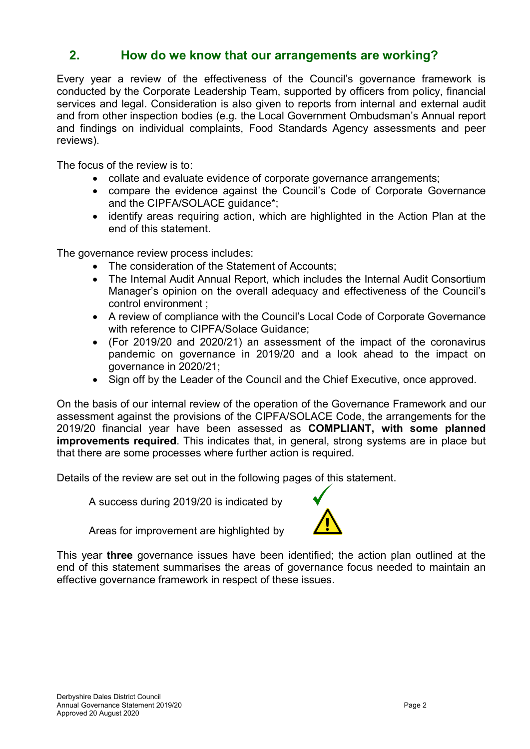### 2. How do we know that our arrangements are working?

Every year a review of the effectiveness of the Council's governance framework is conducted by the Corporate Leadership Team, supported by officers from policy, financial services and legal. Consideration is also given to reports from internal and external audit and from other inspection bodies (e.g. the Local Government Ombudsman's Annual report and findings on individual complaints, Food Standards Agency assessments and peer reviews).

The focus of the review is to:

- collate and evaluate evidence of corporate governance arrangements;
- compare the evidence against the Council's Code of Corporate Governance and the CIPFA/SOLACE guidance\*;
- identify areas requiring action, which are highlighted in the Action Plan at the end of this statement.

The governance review process includes:

- The consideration of the Statement of Accounts;
- The Internal Audit Annual Report, which includes the Internal Audit Consortium Manager's opinion on the overall adequacy and effectiveness of the Council's control environment ;
- A review of compliance with the Council's Local Code of Corporate Governance with reference to CIPFA/Solace Guidance;
- (For 2019/20 and 2020/21) an assessment of the impact of the coronavirus pandemic on governance in 2019/20 and a look ahead to the impact on governance in 2020/21;
- Sign off by the Leader of the Council and the Chief Executive, once approved.

On the basis of our internal review of the operation of the Governance Framework and our assessment against the provisions of the CIPFA/SOLACE Code, the arrangements for the 2019/20 financial year have been assessed as COMPLIANT, with some planned improvements required. This indicates that, in general, strong systems are in place but that there are some processes where further action is required.

Details of the review are set out in the following pages of this statement.

A success during 2019/20 is indicated by



Areas for improvement are highlighted by

This year three governance issues have been identified; the action plan outlined at the end of this statement summarises the areas of governance focus needed to maintain an effective governance framework in respect of these issues.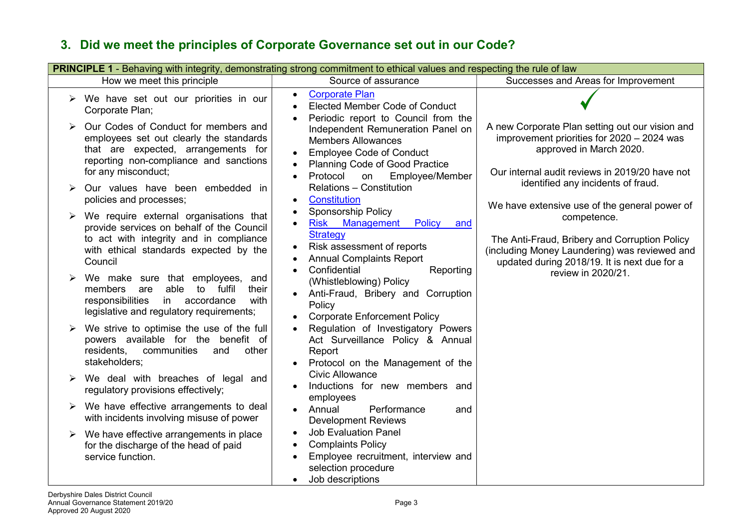#### **PRINCIPLE 1** - Behaving with integrity, demonstrating strong commitment to ethical values and respecting the rule of law How we meet this principle Source of assurance Successes and Areas for Improvement  $\triangleright$  We have set out our priorities in our Corporate Plan;  $\triangleright$  Our Codes of Conduct for members and employees set out clearly the standards that are expected, arrangements for reporting non-compliance and sanctions for any misconduct; Our values have been embedded in policies and processes;  $\triangleright$  We require external organisations that provide services on behalf of the Council to act with integrity and in compliance with ethical standards expected by the Council  $\triangleright$  We make sure that employees, and members are able to fulfil their responsibilities in accordance with legislative and regulatory requirements;  $\triangleright$  We strive to optimise the use of the full powers available for the benefit of residents, communities and other stakeholders;  $\triangleright$  We deal with breaches of legal and regulatory provisions effectively;  $\triangleright$  We have effective arrangements to deal with incidents involving misuse of power  $\triangleright$  We have effective arrangements in place for the discharge of the head of paid service function. Corporate Plan Elected Member Code of Conduct Periodic report to Council from the Independent Remuneration Panel on Members Allowances • Employee Code of Conduct Planning Code of Good Practice • Protocol on Employee/Member Relations – Constitution **•** Constitution • Sponsorship Policy • Risk Management Policy and **Strategy** • Risk assessment of reports Annual Complaints Report • Confidential Reporting (Whistleblowing) Policy Anti-Fraud, Bribery and Corruption **Policy**  Corporate Enforcement Policy Regulation of Investigatory Powers Act Surveillance Policy & Annual Report • Protocol on the Management of the Civic Allowance • Inductions for new members and employees Annual Performance and Development Reviews Job Evaluation Panel • Complaints Policy • Employee recruitment, interview and selection procedure Job descriptions A new Corporate Plan setting out our vision and improvement priorities for 2020 – 2024 was approved in March 2020. Our internal audit reviews in 2019/20 have not identified any incidents of fraud. We have extensive use of the general power of competence. The Anti-Fraud, Bribery and Corruption Policy (including Money Laundering) was reviewed and updated during 2018/19. It is next due for a review in 2020/21.

# 3. Did we meet the principles of Corporate Governance set out in our Code?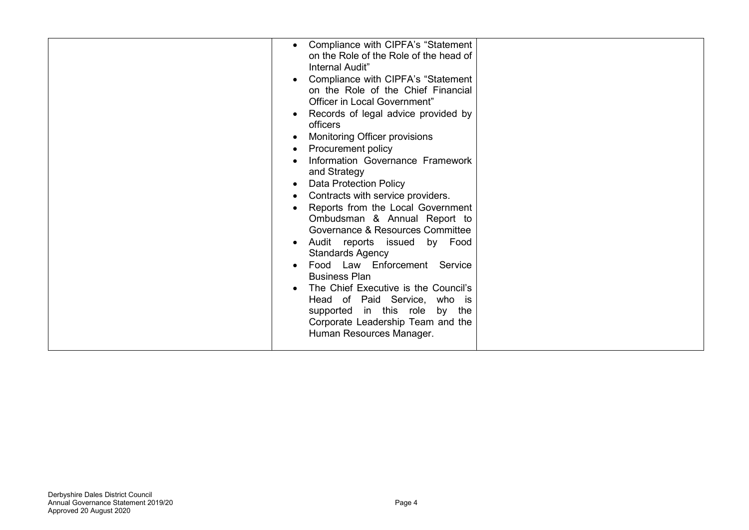|  | Compliance with CIPFA's "Statement<br>$\bullet$<br>on the Role of the Role of the head of<br>Internal Audit"<br>Compliance with CIPFA's "Statement<br>$\bullet$<br>on the Role of the Chief Financial<br>Officer in Local Government"<br>Records of legal advice provided by<br>$\bullet$<br>officers<br>Monitoring Officer provisions<br>Procurement policy<br>Information Governance Framework<br>and Strategy<br><b>Data Protection Policy</b><br>$\bullet$<br>Contracts with service providers.<br>Reports from the Local Government<br>Ombudsman & Annual Report to<br>Governance & Resources Committee<br>Audit reports issued by Food<br><b>Standards Agency</b><br>Food Law Enforcement Service<br><b>Business Plan</b><br>The Chief Executive is the Council's<br>Head of Paid Service, who is<br>supported in this role by the<br>Corporate Leadership Team and the<br>Human Resources Manager. |  |
|--|-----------------------------------------------------------------------------------------------------------------------------------------------------------------------------------------------------------------------------------------------------------------------------------------------------------------------------------------------------------------------------------------------------------------------------------------------------------------------------------------------------------------------------------------------------------------------------------------------------------------------------------------------------------------------------------------------------------------------------------------------------------------------------------------------------------------------------------------------------------------------------------------------------------|--|
|--|-----------------------------------------------------------------------------------------------------------------------------------------------------------------------------------------------------------------------------------------------------------------------------------------------------------------------------------------------------------------------------------------------------------------------------------------------------------------------------------------------------------------------------------------------------------------------------------------------------------------------------------------------------------------------------------------------------------------------------------------------------------------------------------------------------------------------------------------------------------------------------------------------------------|--|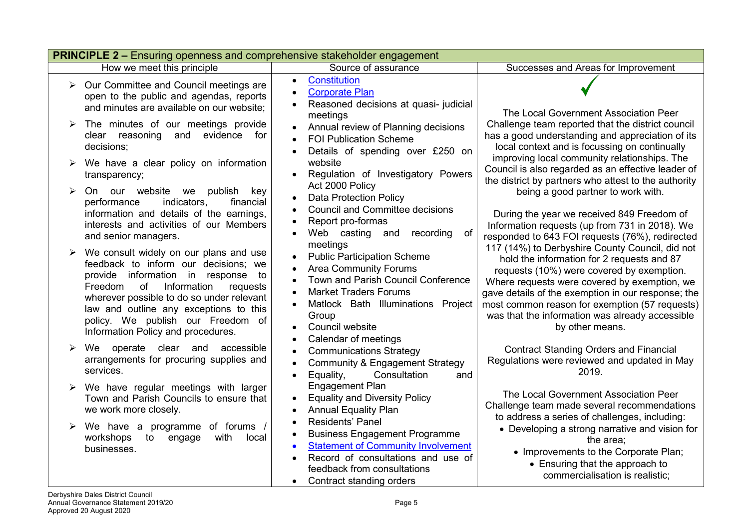|   | <b>PRINCIPLE 2 – Ensuring openness and comprehensive stakeholder engagement</b>                                                                                                                                                                                                                                                       |                                                                                                                                                                                                                                    |                                                                                                                                                                                                                                                                                                                                                                          |  |  |
|---|---------------------------------------------------------------------------------------------------------------------------------------------------------------------------------------------------------------------------------------------------------------------------------------------------------------------------------------|------------------------------------------------------------------------------------------------------------------------------------------------------------------------------------------------------------------------------------|--------------------------------------------------------------------------------------------------------------------------------------------------------------------------------------------------------------------------------------------------------------------------------------------------------------------------------------------------------------------------|--|--|
|   | How we meet this principle                                                                                                                                                                                                                                                                                                            | Source of assurance                                                                                                                                                                                                                | Successes and Areas for Improvement                                                                                                                                                                                                                                                                                                                                      |  |  |
| ➤ | Our Committee and Council meetings are<br>open to the public and agendas, reports<br>and minutes are available on our website;                                                                                                                                                                                                        | <b>Constitution</b><br>$\bullet$<br><b>Corporate Plan</b><br>Reasoned decisions at quasi- judicial<br>meetings                                                                                                                     | The Local Government Association Peer                                                                                                                                                                                                                                                                                                                                    |  |  |
| ➤ | The minutes of our meetings provide<br>clear reasoning and evidence<br>for<br>decisions;                                                                                                                                                                                                                                              | Annual review of Planning decisions<br><b>FOI Publication Scheme</b><br>Details of spending over £250 on                                                                                                                           | Challenge team reported that the district council<br>has a good understanding and appreciation of its<br>local context and is focussing on continually<br>improving local community relationships. The                                                                                                                                                                   |  |  |
|   | We have a clear policy on information<br>transparency;                                                                                                                                                                                                                                                                                | website<br>Regulation of Investigatory Powers<br>Act 2000 Policy                                                                                                                                                                   | Council is also regarded as an effective leader of<br>the district by partners who attest to the authority                                                                                                                                                                                                                                                               |  |  |
|   | On our website we<br>publish<br>key<br>indicators,<br>financial<br>performance<br>information and details of the earnings,<br>interests and activities of our Members<br>and senior managers.                                                                                                                                         | <b>Data Protection Policy</b><br><b>Council and Committee decisions</b><br>Report pro-formas<br>of<br>Web casting and<br>recording<br>meetings                                                                                     | being a good partner to work with.<br>During the year we received 849 Freedom of<br>Information requests (up from 731 in 2018). We<br>responded to 643 FOI requests (76%), redirected                                                                                                                                                                                    |  |  |
|   | We consult widely on our plans and use<br>feedback to inform our decisions; we<br>provide information in response<br>to<br>of<br>Information<br>Freedom<br>requests<br>wherever possible to do so under relevant<br>law and outline any exceptions to this<br>policy. We publish our Freedom of<br>Information Policy and procedures. | <b>Public Participation Scheme</b><br><b>Area Community Forums</b><br>Town and Parish Council Conference<br><b>Market Traders Forums</b><br>Matlock Bath Illuminations Project<br>Group<br>Council website<br>Calendar of meetings | 117 (14%) to Derbyshire County Council, did not<br>hold the information for 2 requests and 87<br>requests (10%) were covered by exemption.<br>Where requests were covered by exemption, we<br>gave details of the exemption in our response; the<br>most common reason for exemption (57 requests)<br>was that the information was already accessible<br>by other means. |  |  |
|   | We operate clear and accessible<br>arrangements for procuring supplies and<br>services.                                                                                                                                                                                                                                               | <b>Communications Strategy</b><br><b>Community &amp; Engagement Strategy</b><br>Equality,<br>Consultation<br>and<br>$\bullet$                                                                                                      | <b>Contract Standing Orders and Financial</b><br>Regulations were reviewed and updated in May<br>2019.                                                                                                                                                                                                                                                                   |  |  |
|   | We have regular meetings with larger<br>Town and Parish Councils to ensure that<br>we work more closely.                                                                                                                                                                                                                              | <b>Engagement Plan</b><br><b>Equality and Diversity Policy</b><br><b>Annual Equality Plan</b>                                                                                                                                      | The Local Government Association Peer<br>Challenge team made several recommendations<br>to address a series of challenges, including:                                                                                                                                                                                                                                    |  |  |
|   | We have a programme of forums /<br>workshops<br>to<br>engage<br>with<br>local<br>businesses.                                                                                                                                                                                                                                          | Residents' Panel<br><b>Business Engagement Programme</b><br><b>Statement of Community Involvement</b><br>Record of consultations and use of<br>feedback from consultations<br>Contract standing orders                             | • Developing a strong narrative and vision for<br>the area;<br>• Improvements to the Corporate Plan;<br>• Ensuring that the approach to<br>commercialisation is realistic;                                                                                                                                                                                               |  |  |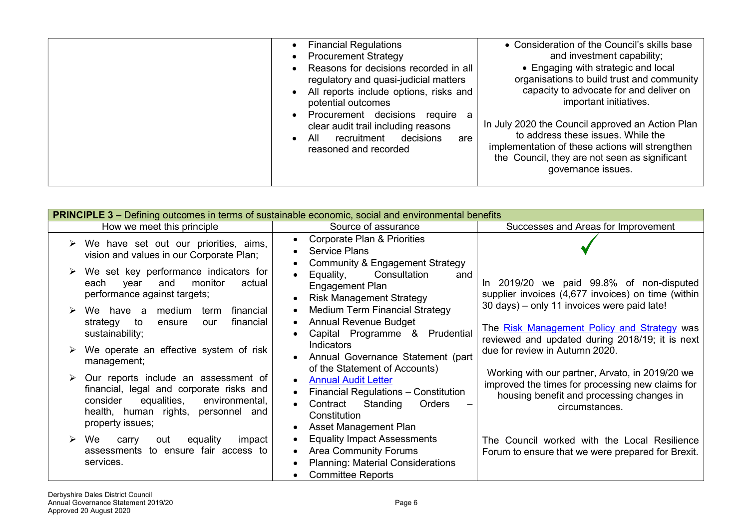| <b>Financial Regulations</b><br><b>Procurement Strategy</b><br>Reasons for decisions recorded in all<br>regulatory and quasi-judicial matters<br>All reports include options, risks and<br>potential outcomes | • Consideration of the Council's skills base<br>and investment capability;<br>• Engaging with strategic and local<br>organisations to build trust and community<br>capacity to advocate for and deliver on<br>important initiatives. |
|---------------------------------------------------------------------------------------------------------------------------------------------------------------------------------------------------------------|--------------------------------------------------------------------------------------------------------------------------------------------------------------------------------------------------------------------------------------|
| Procurement decisions<br>require a<br>clear audit trail including reasons<br>recruitment<br>decisions<br>All<br>are<br>reasoned and recorded                                                                  | In July 2020 the Council approved an Action Plan<br>to address these issues. While the<br>implementation of these actions will strengthen<br>the Council, they are not seen as significant<br>governance issues.                     |

| <b>PRINCIPLE 3 –</b> Defining outcomes in terms of sustainable economic, social and environmental benefits                                                                                  |                                                                                                                                               |                                                                                                                                                                    |  |
|---------------------------------------------------------------------------------------------------------------------------------------------------------------------------------------------|-----------------------------------------------------------------------------------------------------------------------------------------------|--------------------------------------------------------------------------------------------------------------------------------------------------------------------|--|
| How we meet this principle                                                                                                                                                                  | Source of assurance                                                                                                                           | Successes and Areas for Improvement                                                                                                                                |  |
| We have set out our priorities, aims,<br>vision and values in our Corporate Plan;                                                                                                           | <b>Corporate Plan &amp; Priorities</b><br><b>Service Plans</b><br><b>Community &amp; Engagement Strategy</b>                                  |                                                                                                                                                                    |  |
| We set key performance indicators for<br>monitor<br>actual<br>each<br>year<br>and<br>performance against targets;                                                                           | Consultation<br>Equality,<br>and<br>Engagement Plan<br><b>Risk Management Strategy</b>                                                        | In 2019/20 we paid 99.8% of non-disputed<br>supplier invoices (4,677 invoices) on time (within                                                                     |  |
| We have a medium term<br>financial<br>financial<br>strategy<br>to<br>ensure<br>our<br>sustainability;                                                                                       | <b>Medium Term Financial Strategy</b><br><b>Annual Revenue Budget</b><br>Capital Programme & Prudential                                       | 30 days) - only 11 invoices were paid late!<br>The Risk Management Policy and Strategy was<br>reviewed and updated during 2018/19; it is next                      |  |
| We operate an effective system of risk<br>management;                                                                                                                                       | Indicators<br>Annual Governance Statement (part<br>of the Statement of Accounts)                                                              | due for review in Autumn 2020.                                                                                                                                     |  |
| Our reports include an assessment of<br>financial, legal and corporate risks and<br>equalities,<br>environmental,<br>consider<br>health, human rights, personnel<br>and<br>property issues; | <b>Annual Audit Letter</b><br>Financial Regulations - Constitution<br>Standing<br>Contract<br>Orders<br>Constitution<br>Asset Management Plan | Working with our partner, Arvato, in 2019/20 we<br>improved the times for processing new claims for<br>housing benefit and processing changes in<br>circumstances. |  |
| We<br>equality<br>impact<br>out<br>carry<br>assessments to ensure fair access to<br>services.                                                                                               | <b>Equality Impact Assessments</b><br><b>Area Community Forums</b><br><b>Planning: Material Considerations</b><br><b>Committee Reports</b>    | The Council worked with the Local Resilience<br>Forum to ensure that we were prepared for Brexit.                                                                  |  |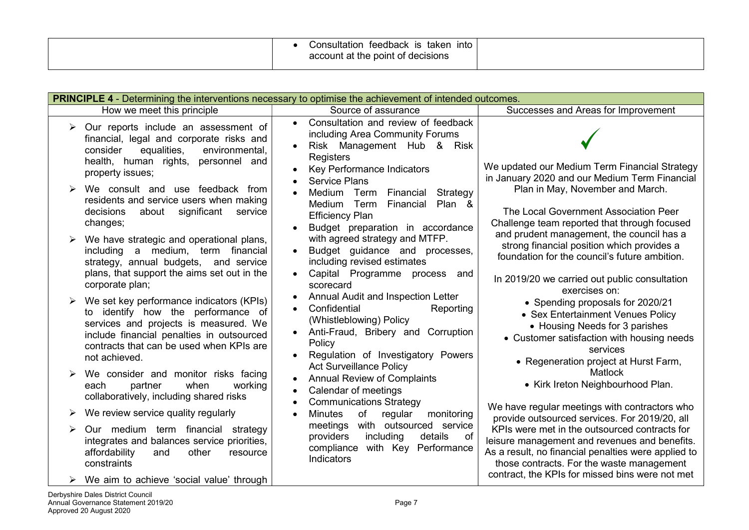| Consultation<br>ınto<br>teedback is taken<br>account at the point of decisions |  |
|--------------------------------------------------------------------------------|--|
|                                                                                |  |

|   | <b>PRINCIPLE 4</b> - Determining the interventions necessary to optimise the achievement of intended outcomes.                                                                                                                    |                                                                                                                                                                              |                                                                                                                                                                                                                                                       |  |  |
|---|-----------------------------------------------------------------------------------------------------------------------------------------------------------------------------------------------------------------------------------|------------------------------------------------------------------------------------------------------------------------------------------------------------------------------|-------------------------------------------------------------------------------------------------------------------------------------------------------------------------------------------------------------------------------------------------------|--|--|
|   | How we meet this principle                                                                                                                                                                                                        | Source of assurance                                                                                                                                                          | Successes and Areas for Improvement                                                                                                                                                                                                                   |  |  |
| ➤ | Our reports include an assessment of<br>financial, legal and corporate risks and<br>equalities,<br>consider<br>environmental,                                                                                                     | Consultation and review of feedback<br>$\bullet$<br>including Area Community Forums<br>Risk Management Hub &<br>Risk<br>Registers                                            |                                                                                                                                                                                                                                                       |  |  |
|   | health, human rights, personnel and<br>property issues;<br>We consult and use feedback from                                                                                                                                       | Key Performance Indicators<br><b>Service Plans</b>                                                                                                                           | We updated our Medium Term Financial Strategy<br>in January 2020 and our Medium Term Financial<br>Plan in May, November and March.                                                                                                                    |  |  |
|   | residents and service users when making<br>significant<br>decisions<br>about<br>service<br>changes;                                                                                                                               | Medium Term<br>Financial<br>Strategy<br>Financial<br>Plan &<br>Medium<br>Term<br><b>Efficiency Plan</b><br>Budget preparation in accordance                                  | The Local Government Association Peer<br>Challenge team reported that through focused<br>and prudent management, the council has a                                                                                                                    |  |  |
|   | We have strategic and operational plans,<br>including a medium, term financial<br>strategy, annual budgets, and service<br>plans, that support the aims set out in the                                                            | with agreed strategy and MTFP.<br>Budget guidance and processes,<br>$\bullet$<br>including revised estimates<br>Capital Programme<br>process<br>and                          | strong financial position which provides a<br>foundation for the council's future ambition.                                                                                                                                                           |  |  |
|   | corporate plan;                                                                                                                                                                                                                   | scorecard<br>Annual Audit and Inspection Letter                                                                                                                              | In 2019/20 we carried out public consultation<br>exercises on:                                                                                                                                                                                        |  |  |
|   | We set key performance indicators (KPIs)<br>to identify how the performance of<br>services and projects is measured. We<br>include financial penalties in outsourced<br>contracts that can be used when KPIs are<br>not achieved. | Confidential<br>Reporting<br>(Whistleblowing) Policy<br>Anti-Fraud, Bribery and Corruption<br>Policy<br>Regulation of Investigatory Powers<br><b>Act Surveillance Policy</b> | • Spending proposals for 2020/21<br>• Sex Entertainment Venues Policy<br>• Housing Needs for 3 parishes<br>• Customer satisfaction with housing needs<br>services<br>• Regeneration project at Hurst Farm,                                            |  |  |
|   | We consider and monitor risks facing<br>when<br>each<br>partner<br>working<br>collaboratively, including shared risks                                                                                                             | <b>Annual Review of Complaints</b><br>Calendar of meetings<br><b>Communications Strategy</b>                                                                                 | <b>Matlock</b><br>• Kirk Ireton Neighbourhood Plan.                                                                                                                                                                                                   |  |  |
|   | We review service quality regularly                                                                                                                                                                                               | <b>Minutes</b><br>of<br>regular<br>monitoring<br>$\bullet$                                                                                                                   | We have regular meetings with contractors who<br>provide outsourced services. For 2019/20, all                                                                                                                                                        |  |  |
|   | Our medium term financial strategy<br>integrates and balances service priorities,<br>affordability<br>other<br>and<br>resource<br>constraints                                                                                     | meetings with outsourced service<br>providers<br>including<br>details<br>of<br>compliance with Key Performance<br>Indicators                                                 | KPIs were met in the outsourced contracts for<br>leisure management and revenues and benefits.<br>As a result, no financial penalties were applied to<br>those contracts. For the waste management<br>contract, the KPIs for missed bins were not met |  |  |
|   | We aim to achieve 'social value' through                                                                                                                                                                                          |                                                                                                                                                                              |                                                                                                                                                                                                                                                       |  |  |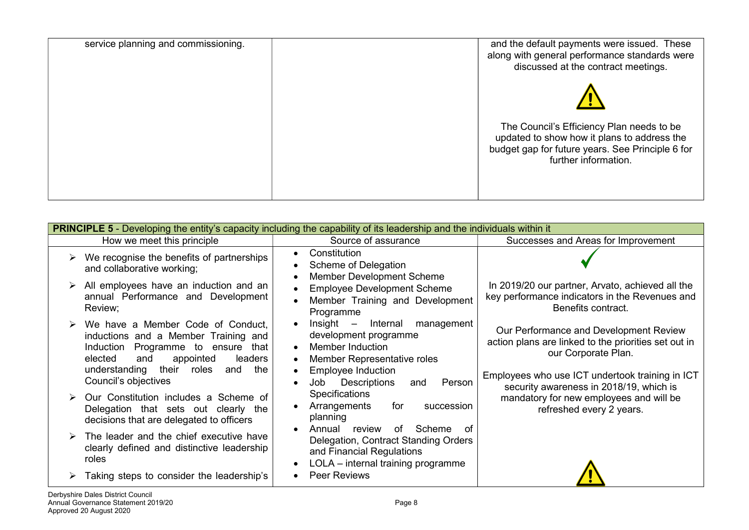| service planning and commissioning. | and the default payments were issued. These<br>along with general performance standards were<br>discussed at the contract meetings.                                  |
|-------------------------------------|----------------------------------------------------------------------------------------------------------------------------------------------------------------------|
|                                     |                                                                                                                                                                      |
|                                     | The Council's Efficiency Plan needs to be<br>updated to show how it plans to address the<br>budget gap for future years. See Principle 6 for<br>further information. |
|                                     |                                                                                                                                                                      |

| How we meet this principle<br>Source of assurance<br>Successes and Areas for Improvement                                                                                                                                                                                                                                                                                                                                                                                                                                                                                                                                           |  |
|------------------------------------------------------------------------------------------------------------------------------------------------------------------------------------------------------------------------------------------------------------------------------------------------------------------------------------------------------------------------------------------------------------------------------------------------------------------------------------------------------------------------------------------------------------------------------------------------------------------------------------|--|
|                                                                                                                                                                                                                                                                                                                                                                                                                                                                                                                                                                                                                                    |  |
| Constitution<br>We recognise the benefits of partnerships<br>Scheme of Delegation<br>and collaborative working;<br><b>Member Development Scheme</b>                                                                                                                                                                                                                                                                                                                                                                                                                                                                                |  |
| All employees have an induction and an<br>In 2019/20 our partner, Arvato, achieved all the<br><b>Employee Development Scheme</b><br>annual Performance and Development<br>key performance indicators in the Revenues and<br>Member Training and Development<br>Review;<br>Benefits contract.<br>Programme                                                                                                                                                                                                                                                                                                                          |  |
| $Insight -$<br>Internal<br>management<br>We have a Member Code of Conduct,<br>Our Performance and Development Review<br>development programme<br>inductions and a Member Training and<br>action plans are linked to the priorities set out in<br><b>Member Induction</b><br>Programme to ensure<br>Induction<br>that<br>$\bullet$<br>our Corporate Plan.<br>elected<br>appointed<br>leaders<br>Member Representative roles<br>and<br>their<br>understanding<br>the<br>roles<br>and<br><b>Employee Induction</b><br>Employees who use ICT undertook training in ICT<br>Council's objectives<br>Person<br>Descriptions<br>Job<br>and |  |
| security awareness in 2018/19, which is<br>Specifications<br>Our Constitution includes a Scheme of<br>mandatory for new employees and will be<br>Arrangements<br>for<br>succession<br>Delegation that sets out clearly the<br>refreshed every 2 years.<br>planning<br>decisions that are delegated to officers<br>Annual<br>review<br>Scheme<br>of<br>റf                                                                                                                                                                                                                                                                           |  |
| The leader and the chief executive have<br>Delegation, Contract Standing Orders<br>clearly defined and distinctive leadership<br>and Financial Regulations<br>roles<br>LOLA - internal training programme<br>Peer Reviews<br>Taking steps to consider the leadership's                                                                                                                                                                                                                                                                                                                                                             |  |
| Derbyshire Dales District Council                                                                                                                                                                                                                                                                                                                                                                                                                                                                                                                                                                                                  |  |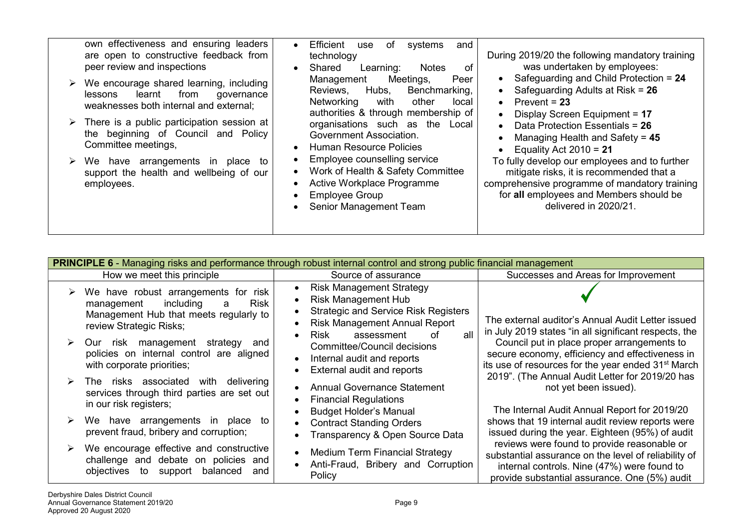| own effectiveness and ensuring leaders<br>are open to constructive feedback from<br>peer review and inspections<br>We encourage shared learning, including<br>from<br>learnt<br>lessons<br>governance<br>weaknesses both internal and external;<br>$\triangleright$ There is a public participation session at<br>the beginning of Council and Policy<br>Committee meetings,<br>We have arrangements<br>to<br><sub>in</sub><br>place<br>support the health and wellbeing of our<br>employees. | Efficient<br>use<br>of<br>systems<br>and<br>During 2019/20 the following mandatory training<br>technology<br>was undertaken by employees:<br>Shared<br>Learning:<br><b>Notes</b><br>of<br>Safeguarding and Child Protection = 24<br>Meetings,<br>Peer<br>Management<br>$\bullet$<br>Safeguarding Adults at Risk = $26$<br>Hubs,<br>Benchmarking,<br>Reviews,<br>$\bullet$<br>other<br>Networking<br>with<br>Prevent = $23$<br>local<br>$\bullet$<br>authorities & through membership of<br>Display Screen Equipment = 17<br>$\bullet$<br>organisations such as the Local<br>Data Protection Essentials = 26<br>$\bullet$<br>Government Association.<br>Managing Health and Safety = $45$<br><b>Human Resource Policies</b><br>Equality Act $2010 = 21$<br>Employee counselling service<br>To fully develop our employees and to further<br>Work of Health & Safety Committee<br>mitigate risks, it is recommended that a<br>Active Workplace Programme<br>comprehensive programme of mandatory training<br>for all employees and Members should be<br><b>Employee Group</b><br>delivered in 2020/21.<br>Senior Management Team |
|-----------------------------------------------------------------------------------------------------------------------------------------------------------------------------------------------------------------------------------------------------------------------------------------------------------------------------------------------------------------------------------------------------------------------------------------------------------------------------------------------|--------------------------------------------------------------------------------------------------------------------------------------------------------------------------------------------------------------------------------------------------------------------------------------------------------------------------------------------------------------------------------------------------------------------------------------------------------------------------------------------------------------------------------------------------------------------------------------------------------------------------------------------------------------------------------------------------------------------------------------------------------------------------------------------------------------------------------------------------------------------------------------------------------------------------------------------------------------------------------------------------------------------------------------------------------------------------------------------------------------------------------|
|-----------------------------------------------------------------------------------------------------------------------------------------------------------------------------------------------------------------------------------------------------------------------------------------------------------------------------------------------------------------------------------------------------------------------------------------------------------------------------------------------|--------------------------------------------------------------------------------------------------------------------------------------------------------------------------------------------------------------------------------------------------------------------------------------------------------------------------------------------------------------------------------------------------------------------------------------------------------------------------------------------------------------------------------------------------------------------------------------------------------------------------------------------------------------------------------------------------------------------------------------------------------------------------------------------------------------------------------------------------------------------------------------------------------------------------------------------------------------------------------------------------------------------------------------------------------------------------------------------------------------------------------|

| <b>PRINCIPLE 6</b> - Managing risks and performance through robust internal control and strong public financial management                               |                                                                                                                                                                                                       |                                                                                                                                                                                                     |  |
|----------------------------------------------------------------------------------------------------------------------------------------------------------|-------------------------------------------------------------------------------------------------------------------------------------------------------------------------------------------------------|-----------------------------------------------------------------------------------------------------------------------------------------------------------------------------------------------------|--|
| How we meet this principle                                                                                                                               | Source of assurance                                                                                                                                                                                   | Successes and Areas for Improvement                                                                                                                                                                 |  |
| We have robust arrangements for risk<br><b>Risk</b><br>including<br>management<br>a<br>Management Hub that meets regularly to<br>review Strategic Risks; | <b>Risk Management Strategy</b><br><b>Risk Management Hub</b><br>$\bullet$<br><b>Strategic and Service Risk Registers</b><br><b>Risk Management Annual Report</b><br>all<br>Risk<br>assessment<br>nt. | The external auditor's Annual Audit Letter issued<br>in July 2019 states "in all significant respects, the                                                                                          |  |
| Our risk management<br>strategy<br>and<br>policies on internal control are aligned<br>with corporate priorities;                                         | <b>Committee/Council decisions</b><br>Internal audit and reports<br>$\bullet$<br>External audit and reports                                                                                           | Council put in place proper arrangements to<br>secure economy, efficiency and effectiveness in<br>its use of resources for the year ended 31 <sup>st</sup> March                                    |  |
| The risks associated with delivering<br>services through third parties are set out<br>in our risk registers;                                             | <b>Annual Governance Statement</b><br><b>Financial Regulations</b>                                                                                                                                    | 2019". (The Annual Audit Letter for 2019/20 has<br>not yet been issued).                                                                                                                            |  |
| We have arrangements in place to<br>prevent fraud, bribery and corruption;                                                                               | <b>Budget Holder's Manual</b><br><b>Contract Standing Orders</b><br>Transparency & Open Source Data                                                                                                   | The Internal Audit Annual Report for 2019/20<br>shows that 19 internal audit review reports were<br>issued during the year. Eighteen (95%) of audit                                                 |  |
| We encourage effective and constructive<br>challenge and debate on policies and<br>objectives<br>to support balanced<br>and                              | <b>Medium Term Financial Strategy</b><br>$\bullet$<br>Anti-Fraud, Bribery and Corruption<br>$\bullet$<br>Policy                                                                                       | reviews were found to provide reasonable or<br>substantial assurance on the level of reliability of<br>internal controls. Nine (47%) were found to<br>provide substantial assurance. One (5%) audit |  |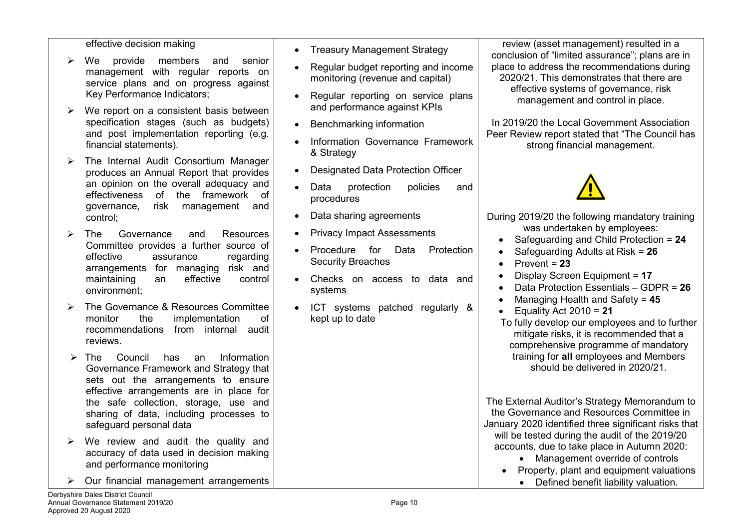#### effective decision making

- We provide members and senior management with regular reports on service plans and on progress against Key Performance Indicators;
- $\triangleright$  We report on a consistent basis between specification stages (such as budgets) and post implementation reporting (e.g. financial statements).
- $\triangleright$  The Internal Audit Consortium Manager produces an Annual Report that provides an opinion on the overall adequacy and effectiveness of the framework of governance, risk management and control;
- > The Governance and Resources Committee provides a further source of effective assurance regarding arrangements for managing risk and maintaining an effective control environment;
- > The Governance & Resources Committee monitor the implementation of recommendations from internal audit reviews.
- > The Council has an Information Governance Framework and Strategy that sets out the arrangements to ensure effective arrangements are in place for the safe collection, storage, use and sharing of data, including processes to safeguard personal data
- $\triangleright$  We review and audit the quality and accuracy of data used in decision making and performance monitoring
- Our financial management arrangements
- Treasury Management Strategy
- Regular budget reporting and income monitoring (revenue and capital)
- Regular reporting on service plans and performance against KPIs
- Benchmarking information
- Information Governance Framework & Strategy
- Designated Data Protection Officer
- Data protection policies and procedures
- Data sharing agreements
- Privacy Impact Assessments
- **•** Procedure for Data Protection Security Breaches
- Checks on access to data and systems
- ICT systems patched regularly & kept up to date

review (asset management) resulted in a conclusion of "limited assurance"; plans are in place to address the recommendations during 2020/21. This demonstrates that there are effective systems of governance, risk management and control in place.

In 2019/20 the Local Government Association Peer Review report stated that "The Council has strong financial management.



- During 2019/20 the following mandatory training was undertaken by employees: • Safeguarding and Child Protection =  $24$  Safeguarding Adults at Risk = 26
	- Prevent  $= 23$
	- Display Screen Equipment = 17
	- Data Protection Essentials GDPR = 26
	- Managing Health and Safety = 45
	- Equality Act  $2010 = 21$

To fully develop our employees and to further mitigate risks, it is recommended that a comprehensive programme of mandatory training for all employees and Members should be delivered in 2020/21.

The External Auditor's Strategy Memorandum to the Governance and Resources Committee in January 2020 identified three significant risks that will be tested during the audit of the 2019/20 accounts, due to take place in Autumn 2020:

- Management override of controls
- Property, plant and equipment valuations
	- Defined benefit liability valuation.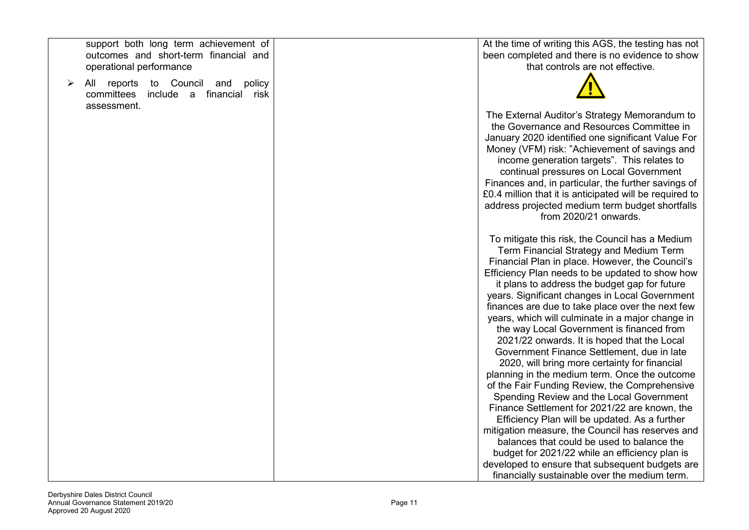support both long term achievement of outcomes and short-term financial and operational performance

 All reports to Council and policy committees include a financial risk assessment.

At the time of writing this AGS, the testing has not been completed and there is no evidence to show that controls are not effective.



The External Auditor's Strategy Memorandum to the Governance and Resources Committee in January 2020 identified one significant Value For Money (VFM) risk: "Achievement of savings and income generation targets". This relates to continual pressures on Local Government Finances and, in particular, the further savings of £0.4 million that it is anticipated will be required to address projected medium term budget shortfalls from 2020/21 onwards.

To mitigate this risk, the Council has a Medium Term Financial Strategy and Medium Term Financial Plan in place. However, the Council's Efficiency Plan needs to be updated to show how it plans to address the budget gap for future years. Significant changes in Local Government finances are due to take place over the next few years, which will culminate in a major change in the way Local Government is financed from 2021/22 onwards. It is hoped that the Local Government Finance Settlement, due in late 2020, will bring more certainty for financial planning in the medium term. Once the outcome of the Fair Funding Review, the Comprehensive Spending Review and the Local Government Finance Settlement for 2021/22 are known, the Efficiency Plan will be updated. As a further mitigation measure, the Council has reserves and balances that could be used to balance the budget for 2021/22 while an efficiency plan is developed to ensure that subsequent budgets are financially sustainable over the medium term.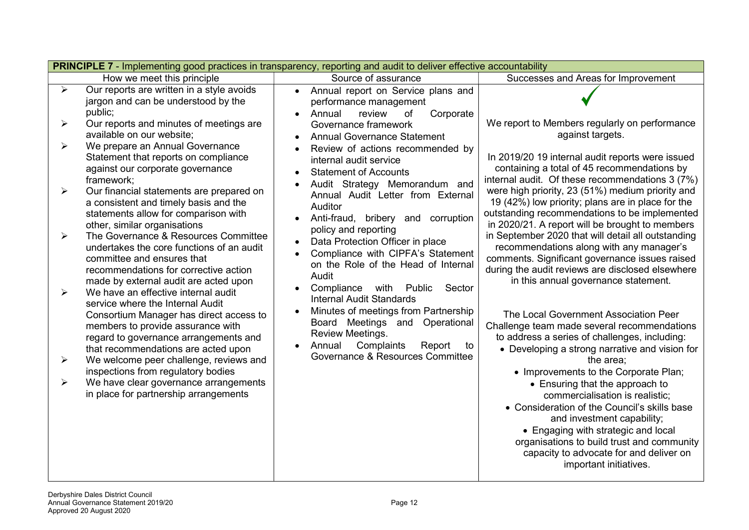|        |                                                                                                                                                                                                                                            | <b>PRINCIPLE 7</b> - Implementing good practices in transparency, reporting and audit to deliver effective accountability                                                                                                                            |                                                                                                                                                                                                                                                                                                            |
|--------|--------------------------------------------------------------------------------------------------------------------------------------------------------------------------------------------------------------------------------------------|------------------------------------------------------------------------------------------------------------------------------------------------------------------------------------------------------------------------------------------------------|------------------------------------------------------------------------------------------------------------------------------------------------------------------------------------------------------------------------------------------------------------------------------------------------------------|
|        | How we meet this principle                                                                                                                                                                                                                 | Source of assurance                                                                                                                                                                                                                                  | Successes and Areas for Improvement                                                                                                                                                                                                                                                                        |
| ➤      | Our reports are written in a style avoids<br>jargon and can be understood by the<br>public;                                                                                                                                                | Annual report on Service plans and<br>$\bullet$<br>performance management<br>Annual<br>review<br>Corporate<br>of<br>$\bullet$                                                                                                                        |                                                                                                                                                                                                                                                                                                            |
| ➤      | Our reports and minutes of meetings are<br>available on our website;                                                                                                                                                                       | Governance framework<br><b>Annual Governance Statement</b>                                                                                                                                                                                           | We report to Members regularly on performance<br>against targets.                                                                                                                                                                                                                                          |
| ➤      | We prepare an Annual Governance<br>Statement that reports on compliance<br>against our corporate governance<br>framework;                                                                                                                  | Review of actions recommended by<br>internal audit service<br><b>Statement of Accounts</b><br>Audit Strategy Memorandum and                                                                                                                          | In 2019/20 19 internal audit reports were issued<br>containing a total of 45 recommendations by<br>internal audit. Of these recommendations 3 (7%)                                                                                                                                                         |
| ➤      | Our financial statements are prepared on<br>a consistent and timely basis and the<br>statements allow for comparison with<br>other, similar organisations                                                                                  | Annual Audit Letter from External<br>Auditor<br>Anti-fraud, bribery and corruption                                                                                                                                                                   | were high priority, 23 (51%) medium priority and<br>19 (42%) low priority; plans are in place for the<br>outstanding recommendations to be implemented<br>in 2020/21. A report will be brought to members                                                                                                  |
| ➤<br>➤ | The Governance & Resources Committee<br>undertakes the core functions of an audit<br>committee and ensures that<br>recommendations for corrective action<br>made by external audit are acted upon<br>We have an effective internal audit   | policy and reporting<br>Data Protection Officer in place<br>$\bullet$<br>Compliance with CIPFA's Statement<br>on the Role of the Head of Internal<br>Audit<br>Compliance<br>with<br>Public<br>Sector<br>$\bullet$<br><b>Internal Audit Standards</b> | in September 2020 that will detail all outstanding<br>recommendations along with any manager's<br>comments. Significant governance issues raised<br>during the audit reviews are disclosed elsewhere<br>in this annual governance statement.                                                               |
| ➤      | service where the Internal Audit<br>Consortium Manager has direct access to<br>members to provide assurance with<br>regard to governance arrangements and<br>that recommendations are acted upon<br>We welcome peer challenge, reviews and | Minutes of meetings from Partnership<br>$\bullet$<br>Board Meetings and Operational<br>Review Meetings.<br>Complaints<br>Annual<br>Report<br>to<br>Governance & Resources Committee                                                                  | The Local Government Association Peer<br>Challenge team made several recommendations<br>to address a series of challenges, including:<br>• Developing a strong narrative and vision for<br>the area;                                                                                                       |
|        | inspections from regulatory bodies                                                                                                                                                                                                         |                                                                                                                                                                                                                                                      | • Improvements to the Corporate Plan;                                                                                                                                                                                                                                                                      |
| ➤      | We have clear governance arrangements<br>in place for partnership arrangements                                                                                                                                                             |                                                                                                                                                                                                                                                      | • Ensuring that the approach to<br>commercialisation is realistic;<br>• Consideration of the Council's skills base<br>and investment capability;<br>• Engaging with strategic and local<br>organisations to build trust and community<br>capacity to advocate for and deliver on<br>important initiatives. |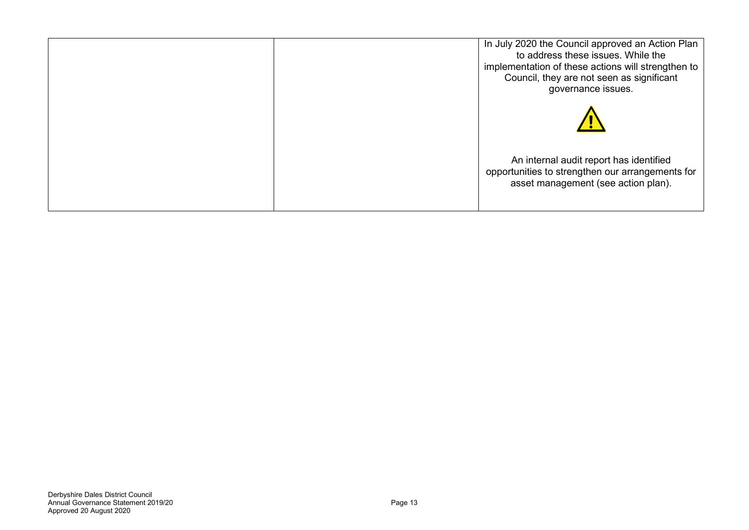| In July 2020 the Council approved an Action Plan<br>to address these issues. While the<br>implementation of these actions will strengthen to<br>Council, they are not seen as significant<br>governance issues. |  |
|-----------------------------------------------------------------------------------------------------------------------------------------------------------------------------------------------------------------|--|
|                                                                                                                                                                                                                 |  |
| An internal audit report has identified<br>opportunities to strengthen our arrangements for<br>asset management (see action plan).                                                                              |  |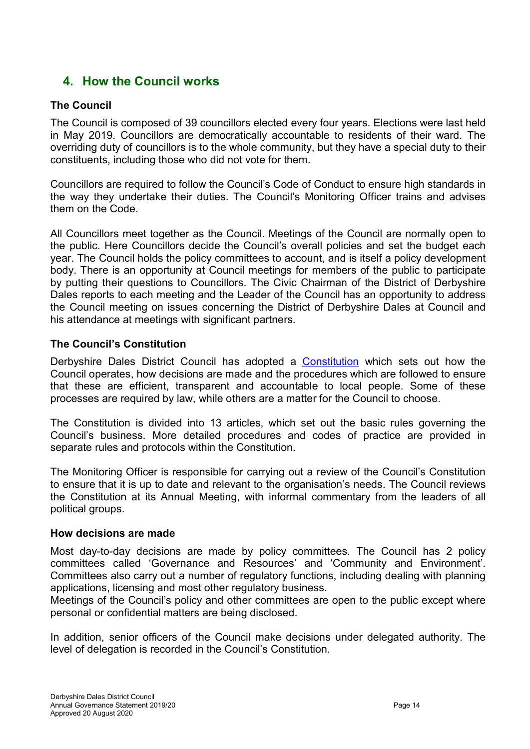# 4. How the Council works

#### The Council

The Council is composed of 39 councillors elected every four years. Elections were last held in May 2019. Councillors are democratically accountable to residents of their ward. The overriding duty of councillors is to the whole community, but they have a special duty to their constituents, including those who did not vote for them.

Councillors are required to follow the Council's Code of Conduct to ensure high standards in the way they undertake their duties. The Council's Monitoring Officer trains and advises them on the Code.

All Councillors meet together as the Council. Meetings of the Council are normally open to the public. Here Councillors decide the Council's overall policies and set the budget each year. The Council holds the policy committees to account, and is itself a policy development body. There is an opportunity at Council meetings for members of the public to participate by putting their questions to Councillors. The Civic Chairman of the District of Derbyshire Dales reports to each meeting and the Leader of the Council has an opportunity to address the Council meeting on issues concerning the District of Derbyshire Dales at Council and his attendance at meetings with significant partners.

#### The Council's Constitution

Derbyshire Dales District Council has adopted a Constitution which sets out how the Council operates, how decisions are made and the procedures which are followed to ensure that these are efficient, transparent and accountable to local people. Some of these processes are required by law, while others are a matter for the Council to choose.

The Constitution is divided into 13 articles, which set out the basic rules governing the Council's business. More detailed procedures and codes of practice are provided in separate rules and protocols within the Constitution.

The Monitoring Officer is responsible for carrying out a review of the Council's Constitution to ensure that it is up to date and relevant to the organisation's needs. The Council reviews the Constitution at its Annual Meeting, with informal commentary from the leaders of all political groups.

#### How decisions are made

Most day-to-day decisions are made by policy committees. The Council has 2 policy committees called 'Governance and Resources' and 'Community and Environment'. Committees also carry out a number of regulatory functions, including dealing with planning applications, licensing and most other regulatory business.

Meetings of the Council's policy and other committees are open to the public except where personal or confidential matters are being disclosed.

In addition, senior officers of the Council make decisions under delegated authority. The level of delegation is recorded in the Council's Constitution.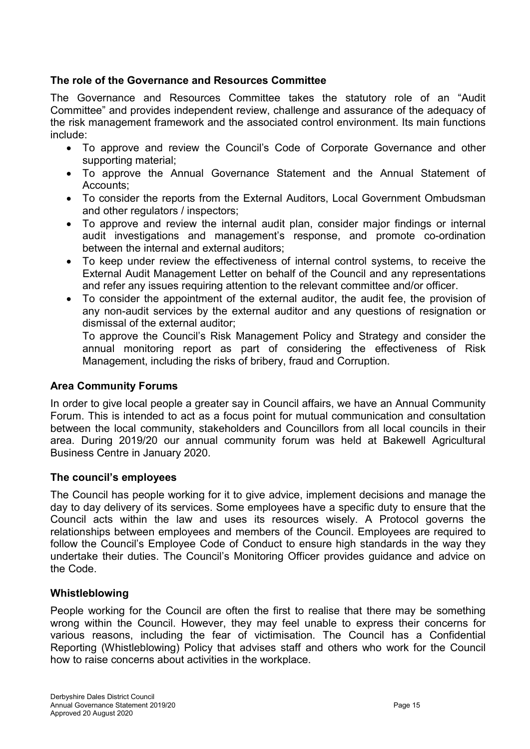#### The role of the Governance and Resources Committee

The Governance and Resources Committee takes the statutory role of an "Audit Committee" and provides independent review, challenge and assurance of the adequacy of the risk management framework and the associated control environment. Its main functions include:

- To approve and review the Council's Code of Corporate Governance and other supporting material;
- To approve the Annual Governance Statement and the Annual Statement of Accounts;
- To consider the reports from the External Auditors, Local Government Ombudsman and other regulators / inspectors;
- To approve and review the internal audit plan, consider major findings or internal audit investigations and management's response, and promote co-ordination between the internal and external auditors;
- To keep under review the effectiveness of internal control systems, to receive the External Audit Management Letter on behalf of the Council and any representations and refer any issues requiring attention to the relevant committee and/or officer.
- To consider the appointment of the external auditor, the audit fee, the provision of any non-audit services by the external auditor and any questions of resignation or dismissal of the external auditor;

 To approve the Council's Risk Management Policy and Strategy and consider the annual monitoring report as part of considering the effectiveness of Risk Management, including the risks of bribery, fraud and Corruption.

#### Area Community Forums

In order to give local people a greater say in Council affairs, we have an Annual Community Forum. This is intended to act as a focus point for mutual communication and consultation between the local community, stakeholders and Councillors from all local councils in their area. During 2019/20 our annual community forum was held at Bakewell Agricultural Business Centre in January 2020.

#### The council's employees

The Council has people working for it to give advice, implement decisions and manage the day to day delivery of its services. Some employees have a specific duty to ensure that the Council acts within the law and uses its resources wisely. A Protocol governs the relationships between employees and members of the Council. Employees are required to follow the Council's Employee Code of Conduct to ensure high standards in the way they undertake their duties. The Council's Monitoring Officer provides guidance and advice on the Code.

#### Whistleblowing

People working for the Council are often the first to realise that there may be something wrong within the Council. However, they may feel unable to express their concerns for various reasons, including the fear of victimisation. The Council has a Confidential Reporting (Whistleblowing) Policy that advises staff and others who work for the Council how to raise concerns about activities in the workplace.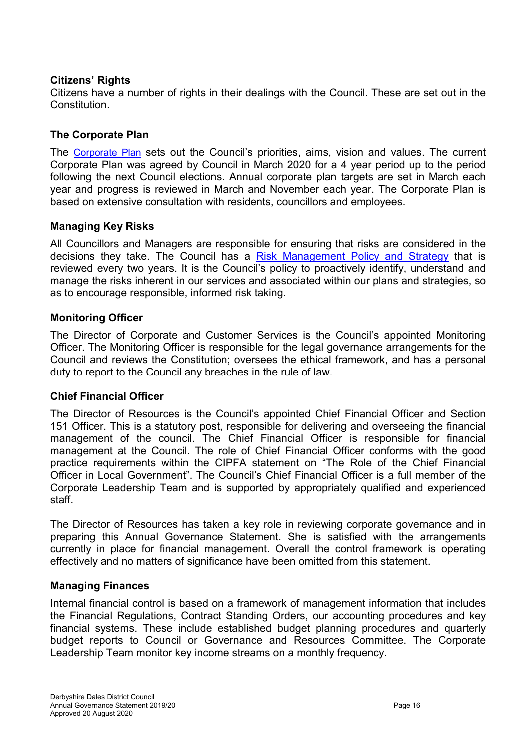#### Citizens' Rights

Citizens have a number of rights in their dealings with the Council. These are set out in the **Constitution** 

#### The Corporate Plan

The Corporate Plan sets out the Council's priorities, aims, vision and values. The current Corporate Plan was agreed by Council in March 2020 for a 4 year period up to the period following the next Council elections. Annual corporate plan targets are set in March each year and progress is reviewed in March and November each year. The Corporate Plan is based on extensive consultation with residents, councillors and employees.

#### Managing Key Risks

All Councillors and Managers are responsible for ensuring that risks are considered in the decisions they take. The Council has a Risk Management Policy and Strategy that is reviewed every two years. It is the Council's policy to proactively identify, understand and manage the risks inherent in our services and associated within our plans and strategies, so as to encourage responsible, informed risk taking.

#### Monitoring Officer

The Director of Corporate and Customer Services is the Council's appointed Monitoring Officer. The Monitoring Officer is responsible for the legal governance arrangements for the Council and reviews the Constitution; oversees the ethical framework, and has a personal duty to report to the Council any breaches in the rule of law.

#### Chief Financial Officer

The Director of Resources is the Council's appointed Chief Financial Officer and Section 151 Officer. This is a statutory post, responsible for delivering and overseeing the financial management of the council. The Chief Financial Officer is responsible for financial management at the Council. The role of Chief Financial Officer conforms with the good practice requirements within the CIPFA statement on "The Role of the Chief Financial Officer in Local Government". The Council's Chief Financial Officer is a full member of the Corporate Leadership Team and is supported by appropriately qualified and experienced staff.

The Director of Resources has taken a key role in reviewing corporate governance and in preparing this Annual Governance Statement. She is satisfied with the arrangements currently in place for financial management. Overall the control framework is operating effectively and no matters of significance have been omitted from this statement.

#### Managing Finances

Internal financial control is based on a framework of management information that includes the Financial Regulations, Contract Standing Orders, our accounting procedures and key financial systems. These include established budget planning procedures and quarterly budget reports to Council or Governance and Resources Committee. The Corporate Leadership Team monitor key income streams on a monthly frequency.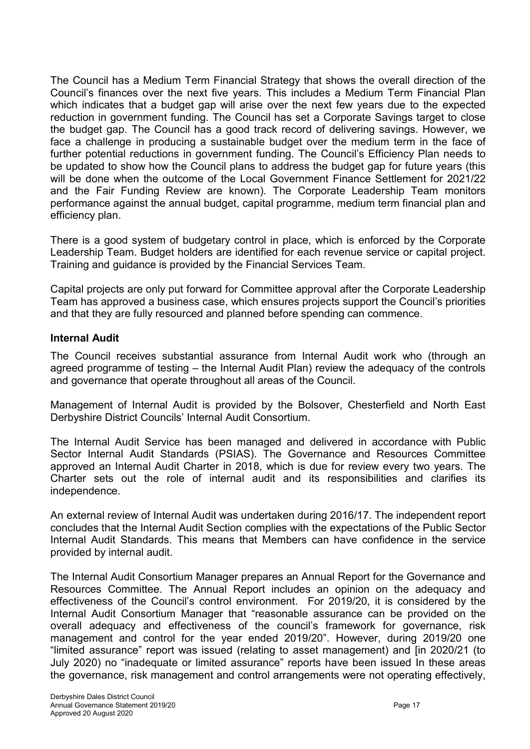The Council has a Medium Term Financial Strategy that shows the overall direction of the Council's finances over the next five years. This includes a Medium Term Financial Plan which indicates that a budget gap will arise over the next few years due to the expected reduction in government funding. The Council has set a Corporate Savings target to close the budget gap. The Council has a good track record of delivering savings. However, we face a challenge in producing a sustainable budget over the medium term in the face of further potential reductions in government funding. The Council's Efficiency Plan needs to be updated to show how the Council plans to address the budget gap for future years (this will be done when the outcome of the Local Government Finance Settlement for 2021/22 and the Fair Funding Review are known). The Corporate Leadership Team monitors performance against the annual budget, capital programme, medium term financial plan and efficiency plan.

There is a good system of budgetary control in place, which is enforced by the Corporate Leadership Team. Budget holders are identified for each revenue service or capital project. Training and guidance is provided by the Financial Services Team.

Capital projects are only put forward for Committee approval after the Corporate Leadership Team has approved a business case, which ensures projects support the Council's priorities and that they are fully resourced and planned before spending can commence.

#### Internal Audit

The Council receives substantial assurance from Internal Audit work who (through an agreed programme of testing – the Internal Audit Plan) review the adequacy of the controls and governance that operate throughout all areas of the Council.

Management of Internal Audit is provided by the Bolsover, Chesterfield and North East Derbyshire District Councils' Internal Audit Consortium.

The Internal Audit Service has been managed and delivered in accordance with Public Sector Internal Audit Standards (PSIAS). The Governance and Resources Committee approved an Internal Audit Charter in 2018, which is due for review every two years. The Charter sets out the role of internal audit and its responsibilities and clarifies its independence.

An external review of Internal Audit was undertaken during 2016/17. The independent report concludes that the Internal Audit Section complies with the expectations of the Public Sector Internal Audit Standards. This means that Members can have confidence in the service provided by internal audit.

The Internal Audit Consortium Manager prepares an Annual Report for the Governance and Resources Committee. The Annual Report includes an opinion on the adequacy and effectiveness of the Council's control environment. For 2019/20, it is considered by the Internal Audit Consortium Manager that "reasonable assurance can be provided on the overall adequacy and effectiveness of the council's framework for governance, risk management and control for the year ended 2019/20". However, during 2019/20 one "limited assurance" report was issued (relating to asset management) and [in 2020/21 (to July 2020) no "inadequate or limited assurance" reports have been issued In these areas the governance, risk management and control arrangements were not operating effectively,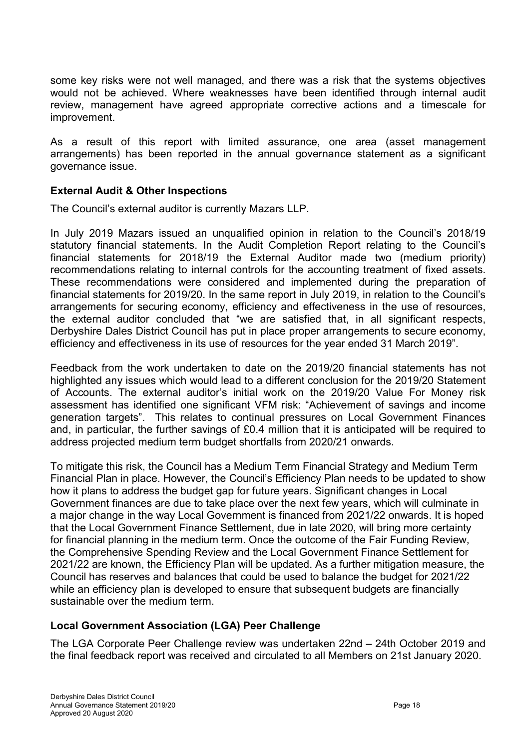some key risks were not well managed, and there was a risk that the systems objectives would not be achieved. Where weaknesses have been identified through internal audit review, management have agreed appropriate corrective actions and a timescale for improvement.

As a result of this report with limited assurance, one area (asset management arrangements) has been reported in the annual governance statement as a significant governance issue.

#### External Audit & Other Inspections

The Council's external auditor is currently Mazars LLP.

In July 2019 Mazars issued an unqualified opinion in relation to the Council's 2018/19 statutory financial statements. In the Audit Completion Report relating to the Council's financial statements for 2018/19 the External Auditor made two (medium priority) recommendations relating to internal controls for the accounting treatment of fixed assets. These recommendations were considered and implemented during the preparation of financial statements for 2019/20. In the same report in July 2019, in relation to the Council's arrangements for securing economy, efficiency and effectiveness in the use of resources, the external auditor concluded that "we are satisfied that, in all significant respects, Derbyshire Dales District Council has put in place proper arrangements to secure economy, efficiency and effectiveness in its use of resources for the year ended 31 March 2019".

Feedback from the work undertaken to date on the 2019/20 financial statements has not highlighted any issues which would lead to a different conclusion for the 2019/20 Statement of Accounts. The external auditor's initial work on the 2019/20 Value For Money risk assessment has identified one significant VFM risk: "Achievement of savings and income generation targets". This relates to continual pressures on Local Government Finances and, in particular, the further savings of £0.4 million that it is anticipated will be required to address projected medium term budget shortfalls from 2020/21 onwards.

To mitigate this risk, the Council has a Medium Term Financial Strategy and Medium Term Financial Plan in place. However, the Council's Efficiency Plan needs to be updated to show how it plans to address the budget gap for future years. Significant changes in Local Government finances are due to take place over the next few years, which will culminate in a major change in the way Local Government is financed from 2021/22 onwards. It is hoped that the Local Government Finance Settlement, due in late 2020, will bring more certainty for financial planning in the medium term. Once the outcome of the Fair Funding Review, the Comprehensive Spending Review and the Local Government Finance Settlement for 2021/22 are known, the Efficiency Plan will be updated. As a further mitigation measure, the Council has reserves and balances that could be used to balance the budget for 2021/22 while an efficiency plan is developed to ensure that subsequent budgets are financially sustainable over the medium term.

#### Local Government Association (LGA) Peer Challenge

The LGA Corporate Peer Challenge review was undertaken 22nd – 24th October 2019 and the final feedback report was received and circulated to all Members on 21st January 2020.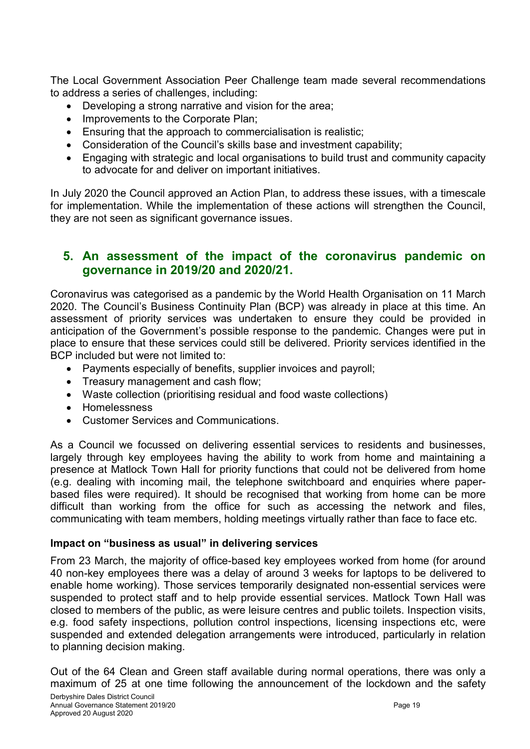The Local Government Association Peer Challenge team made several recommendations to address a series of challenges, including:

- Developing a strong narrative and vision for the area;
- Improvements to the Corporate Plan;
- **Ensuring that the approach to commercialisation is realistic:**
- Consideration of the Council's skills base and investment capability;
- Engaging with strategic and local organisations to build trust and community capacity to advocate for and deliver on important initiatives.

In July 2020 the Council approved an Action Plan, to address these issues, with a timescale for implementation. While the implementation of these actions will strengthen the Council, they are not seen as significant governance issues.

### 5. An assessment of the impact of the coronavirus pandemic on governance in 2019/20 and 2020/21.

Coronavirus was categorised as a pandemic by the World Health Organisation on 11 March 2020. The Council's Business Continuity Plan (BCP) was already in place at this time. An assessment of priority services was undertaken to ensure they could be provided in anticipation of the Government's possible response to the pandemic. Changes were put in place to ensure that these services could still be delivered. Priority services identified in the BCP included but were not limited to:

- Payments especially of benefits, supplier invoices and payroll;
- Treasury management and cash flow;
- Waste collection (prioritising residual and food waste collections)
- Homelessness
- Customer Services and Communications.

As a Council we focussed on delivering essential services to residents and businesses, largely through key employees having the ability to work from home and maintaining a presence at Matlock Town Hall for priority functions that could not be delivered from home (e.g. dealing with incoming mail, the telephone switchboard and enquiries where paperbased files were required). It should be recognised that working from home can be more difficult than working from the office for such as accessing the network and files, communicating with team members, holding meetings virtually rather than face to face etc.

#### Impact on "business as usual" in delivering services

From 23 March, the majority of office-based key employees worked from home (for around 40 non-key employees there was a delay of around 3 weeks for laptops to be delivered to enable home working). Those services temporarily designated non-essential services were suspended to protect staff and to help provide essential services. Matlock Town Hall was closed to members of the public, as were leisure centres and public toilets. Inspection visits, e.g. food safety inspections, pollution control inspections, licensing inspections etc, were suspended and extended delegation arrangements were introduced, particularly in relation to planning decision making.

Out of the 64 Clean and Green staff available during normal operations, there was only a maximum of 25 at one time following the announcement of the lockdown and the safety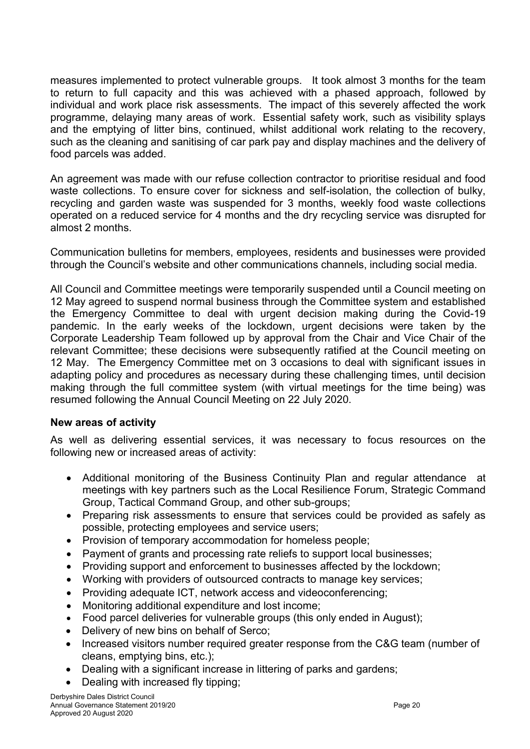measures implemented to protect vulnerable groups. It took almost 3 months for the team to return to full capacity and this was achieved with a phased approach, followed by individual and work place risk assessments. The impact of this severely affected the work programme, delaying many areas of work. Essential safety work, such as visibility splays and the emptying of litter bins, continued, whilst additional work relating to the recovery, such as the cleaning and sanitising of car park pay and display machines and the delivery of food parcels was added.

An agreement was made with our refuse collection contractor to prioritise residual and food waste collections. To ensure cover for sickness and self-isolation, the collection of bulky, recycling and garden waste was suspended for 3 months, weekly food waste collections operated on a reduced service for 4 months and the dry recycling service was disrupted for almost 2 months.

Communication bulletins for members, employees, residents and businesses were provided through the Council's website and other communications channels, including social media.

All Council and Committee meetings were temporarily suspended until a Council meeting on 12 May agreed to suspend normal business through the Committee system and established the Emergency Committee to deal with urgent decision making during the Covid-19 pandemic. In the early weeks of the lockdown, urgent decisions were taken by the Corporate Leadership Team followed up by approval from the Chair and Vice Chair of the relevant Committee; these decisions were subsequently ratified at the Council meeting on 12 May. The Emergency Committee met on 3 occasions to deal with significant issues in adapting policy and procedures as necessary during these challenging times, until decision making through the full committee system (with virtual meetings for the time being) was resumed following the Annual Council Meeting on 22 July 2020.

#### New areas of activity

As well as delivering essential services, it was necessary to focus resources on the following new or increased areas of activity:

- Additional monitoring of the Business Continuity Plan and regular attendance at meetings with key partners such as the Local Resilience Forum, Strategic Command Group, Tactical Command Group, and other sub-groups;
- Preparing risk assessments to ensure that services could be provided as safely as possible, protecting employees and service users;
- Provision of temporary accommodation for homeless people;
- Payment of grants and processing rate reliefs to support local businesses;
- Providing support and enforcement to businesses affected by the lockdown;
- Working with providers of outsourced contracts to manage key services;
- Providing adequate ICT, network access and videoconferencing;
- Monitoring additional expenditure and lost income;
- Food parcel deliveries for vulnerable groups (this only ended in August);
- Delivery of new bins on behalf of Serco:
- Increased visitors number required greater response from the C&G team (number of cleans, emptying bins, etc.);
- Dealing with a significant increase in littering of parks and gardens;
- Dealing with increased fly tipping;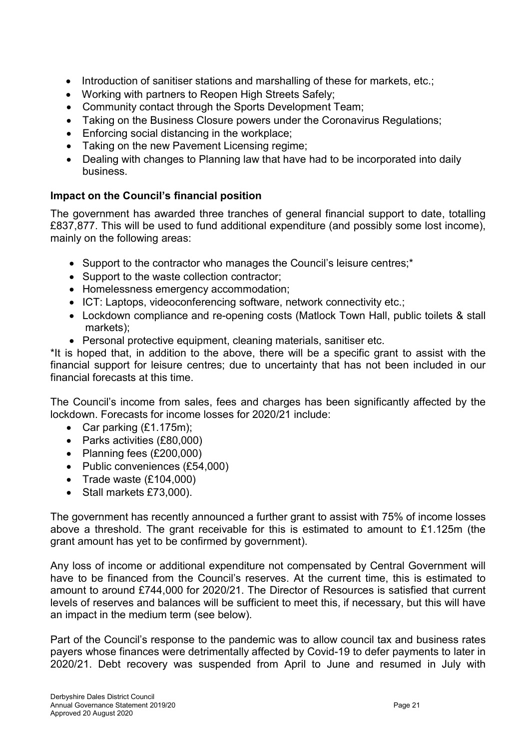- Introduction of sanitiser stations and marshalling of these for markets, etc.;
- Working with partners to Reopen High Streets Safely:
- Community contact through the Sports Development Team;
- Taking on the Business Closure powers under the Coronavirus Regulations;
- **Enforcing social distancing in the workplace;**
- Taking on the new Pavement Licensing regime;
- Dealing with changes to Planning law that have had to be incorporated into daily business.

### Impact on the Council's financial position

The government has awarded three tranches of general financial support to date, totalling £837,877. This will be used to fund additional expenditure (and possibly some lost income), mainly on the following areas:

- Support to the contractor who manages the Council's leisure centres;\*
- Support to the waste collection contractor;
- Homelessness emergency accommodation;
- ICT: Laptops, videoconferencing software, network connectivity etc.;
- Lockdown compliance and re-opening costs (Matlock Town Hall, public toilets & stall markets);
- Personal protective equipment, cleaning materials, sanitiser etc.

\*It is hoped that, in addition to the above, there will be a specific grant to assist with the financial support for leisure centres; due to uncertainty that has not been included in our financial forecasts at this time.

The Council's income from sales, fees and charges has been significantly affected by the lockdown. Forecasts for income losses for 2020/21 include:

- Car parking  $(E1.175m)$ ;
- Parks activities (£80,000)
- Planning fees (£200,000)
- Public conveniences (£54,000)
- Trade waste  $(E104,000)$
- Stall markets £73,000).

The government has recently announced a further grant to assist with 75% of income losses above a threshold. The grant receivable for this is estimated to amount to £1.125m (the grant amount has yet to be confirmed by government).

Any loss of income or additional expenditure not compensated by Central Government will have to be financed from the Council's reserves. At the current time, this is estimated to amount to around £744,000 for 2020/21. The Director of Resources is satisfied that current levels of reserves and balances will be sufficient to meet this, if necessary, but this will have an impact in the medium term (see below).

Part of the Council's response to the pandemic was to allow council tax and business rates payers whose finances were detrimentally affected by Covid-19 to defer payments to later in 2020/21. Debt recovery was suspended from April to June and resumed in July with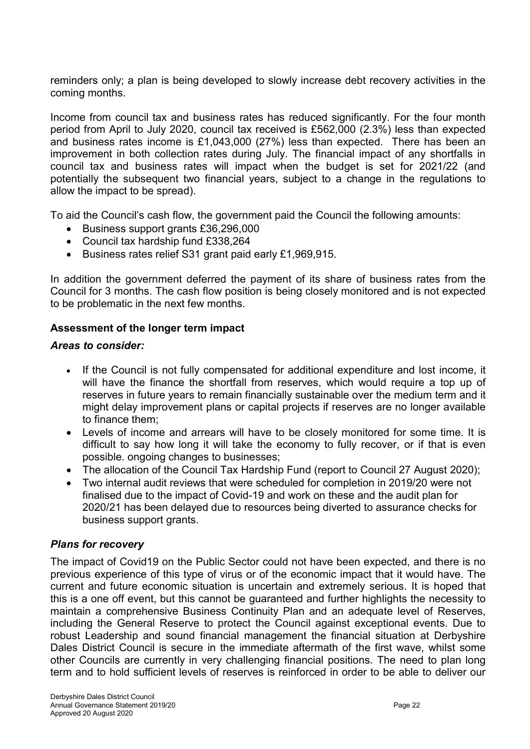reminders only; a plan is being developed to slowly increase debt recovery activities in the coming months.

Income from council tax and business rates has reduced significantly. For the four month period from April to July 2020, council tax received is £562,000 (2.3%) less than expected and business rates income is £1,043,000 (27%) less than expected. There has been an improvement in both collection rates during July. The financial impact of any shortfalls in council tax and business rates will impact when the budget is set for 2021/22 (and potentially the subsequent two financial years, subject to a change in the regulations to allow the impact to be spread).

To aid the Council's cash flow, the government paid the Council the following amounts:

- Business support grants £36,296,000
- Council tax hardship fund £338,264
- Business rates relief S31 grant paid early £1,969,915.

In addition the government deferred the payment of its share of business rates from the Council for 3 months. The cash flow position is being closely monitored and is not expected to be problematic in the next few months.

#### Assessment of the longer term impact

#### Areas to consider:

- If the Council is not fully compensated for additional expenditure and lost income, it will have the finance the shortfall from reserves, which would require a top up of reserves in future years to remain financially sustainable over the medium term and it might delay improvement plans or capital projects if reserves are no longer available to finance them;
- Levels of income and arrears will have to be closely monitored for some time. It is difficult to say how long it will take the economy to fully recover, or if that is even possible. ongoing changes to businesses;
- The allocation of the Council Tax Hardship Fund (report to Council 27 August 2020);
- Two internal audit reviews that were scheduled for completion in 2019/20 were not finalised due to the impact of Covid-19 and work on these and the audit plan for 2020/21 has been delayed due to resources being diverted to assurance checks for business support grants.

#### Plans for recovery

The impact of Covid19 on the Public Sector could not have been expected, and there is no previous experience of this type of virus or of the economic impact that it would have. The current and future economic situation is uncertain and extremely serious. It is hoped that this is a one off event, but this cannot be guaranteed and further highlights the necessity to maintain a comprehensive Business Continuity Plan and an adequate level of Reserves, including the General Reserve to protect the Council against exceptional events. Due to robust Leadership and sound financial management the financial situation at Derbyshire Dales District Council is secure in the immediate aftermath of the first wave, whilst some other Councils are currently in very challenging financial positions. The need to plan long term and to hold sufficient levels of reserves is reinforced in order to be able to deliver our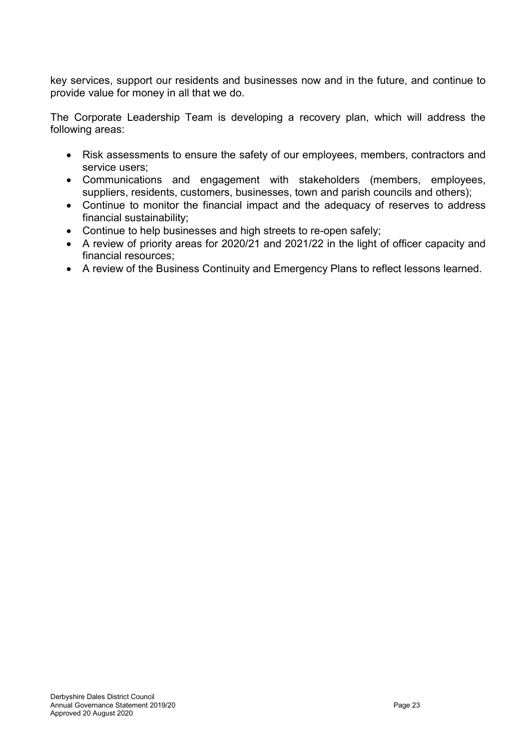key services, support our residents and businesses now and in the future, and continue to provide value for money in all that we do.

The Corporate Leadership Team is developing a recovery plan, which will address the following areas:

- Risk assessments to ensure the safety of our employees, members, contractors and service users;
- Communications and engagement with stakeholders (members, employees, suppliers, residents, customers, businesses, town and parish councils and others);
- Continue to monitor the financial impact and the adequacy of reserves to address financial sustainability;
- Continue to help businesses and high streets to re-open safely;
- A review of priority areas for 2020/21 and 2021/22 in the light of officer capacity and financial resources;
- A review of the Business Continuity and Emergency Plans to reflect lessons learned.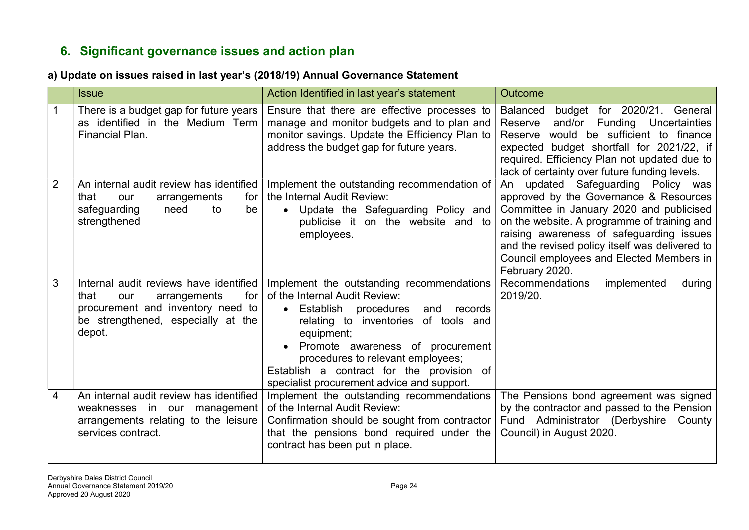# 6. Significant governance issues and action plan

#### a) Update on issues raised in last year's (2018/19) Annual Governance Statement

|   | <b>Issue</b>                                                                                                                                                      | Action Identified in last year's statement                                                                                                                                                                                                                                                                                                        | <b>Outcome</b>                                                                                                                                                                                                                                                                                                                      |
|---|-------------------------------------------------------------------------------------------------------------------------------------------------------------------|---------------------------------------------------------------------------------------------------------------------------------------------------------------------------------------------------------------------------------------------------------------------------------------------------------------------------------------------------|-------------------------------------------------------------------------------------------------------------------------------------------------------------------------------------------------------------------------------------------------------------------------------------------------------------------------------------|
|   | There is a budget gap for future years<br>as identified in the Medium Term<br>Financial Plan.                                                                     | Ensure that there are effective processes to<br>manage and monitor budgets and to plan and<br>monitor savings. Update the Efficiency Plan to<br>address the budget gap for future years.                                                                                                                                                          | budget for 2020/21. General<br>Balanced<br>and/or Funding Uncertainties<br>Reserve<br>Reserve would be sufficient to finance<br>expected budget shortfall for 2021/22, if<br>required. Efficiency Plan not updated due to<br>lack of certainty over future funding levels.                                                          |
| 2 | An internal audit review has identified<br>that<br>arrangements<br>for<br>our<br>safeguarding<br>need<br>be<br>to<br>strengthened                                 | Implement the outstanding recommendation of<br>the Internal Audit Review:<br>Update the Safeguarding Policy and<br>$\bullet$<br>publicise it on the website and to<br>employees.                                                                                                                                                                  | An updated Safeguarding Policy was<br>approved by the Governance & Resources<br>Committee in January 2020 and publicised<br>on the website. A programme of training and<br>raising awareness of safeguarding issues<br>and the revised policy itself was delivered to<br>Council employees and Elected Members in<br>February 2020. |
| 3 | Internal audit reviews have identified<br>arrangements<br>for<br>that<br>our<br>procurement and inventory need to<br>be strengthened, especially at the<br>depot. | Implement the outstanding recommendations<br>of the Internal Audit Review:<br>Establish<br>procedures<br>and<br>records<br>relating to inventories of tools and<br>equipment;<br>Promote awareness of procurement<br>procedures to relevant employees;<br>Establish a contract for the provision of<br>specialist procurement advice and support. | Recommendations<br>implemented<br>during<br>2019/20.                                                                                                                                                                                                                                                                                |
| 4 | An internal audit review has identified<br>weaknesses in our management<br>arrangements relating to the leisure<br>services contract.                             | Implement the outstanding recommendations<br>of the Internal Audit Review:<br>Confirmation should be sought from contractor<br>that the pensions bond required under the<br>contract has been put in place.                                                                                                                                       | The Pensions bond agreement was signed<br>by the contractor and passed to the Pension<br>Fund Administrator (Derbyshire County<br>Council) in August 2020.                                                                                                                                                                          |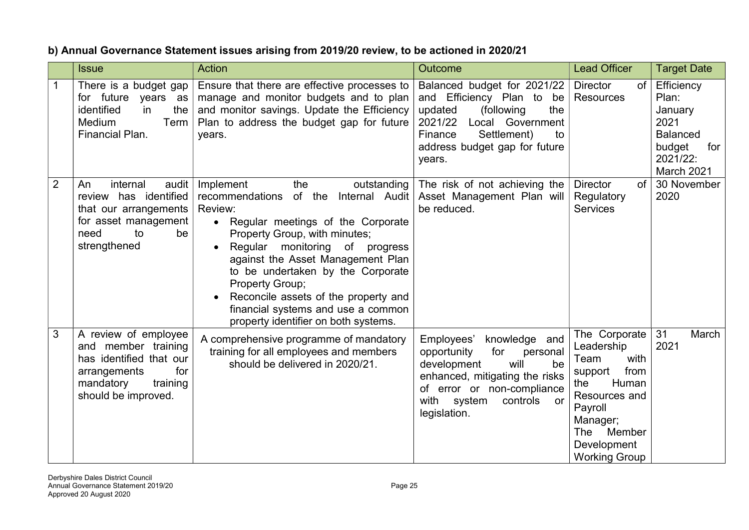## b) Annual Governance Statement issues arising from 2019/20 review, to be actioned in 2020/21

|                | <b>Issue</b>                                                                                                                                  | <b>Action</b>                                                                                                                                                                                                                                                                                                                                                                                                                    | Outcome                                                                                                                                                                                                     | <b>Lead Officer</b>                                                                                                                                                            | <b>Target Date</b>                                                                                   |
|----------------|-----------------------------------------------------------------------------------------------------------------------------------------------|----------------------------------------------------------------------------------------------------------------------------------------------------------------------------------------------------------------------------------------------------------------------------------------------------------------------------------------------------------------------------------------------------------------------------------|-------------------------------------------------------------------------------------------------------------------------------------------------------------------------------------------------------------|--------------------------------------------------------------------------------------------------------------------------------------------------------------------------------|------------------------------------------------------------------------------------------------------|
|                | There is a budget gap<br>for future years as<br>identified<br>the<br>in.<br>Term<br>Medium<br>Financial Plan.                                 | Ensure that there are effective processes to<br>manage and monitor budgets and to plan<br>and monitor savings. Update the Efficiency<br>Plan to address the budget gap for future<br>years.                                                                                                                                                                                                                                      | Balanced budget for 2021/22<br>and Efficiency Plan to be<br>updated<br>the<br>(following<br>2021/22<br>Local Government<br>Settlement)<br>Finance<br>to<br>address budget gap for future<br>years.          | <b>Director</b><br><b>of</b><br>Resources                                                                                                                                      | Efficiency<br>Plan:<br>January<br>2021<br><b>Balanced</b><br>budget<br>for<br>2021/22:<br>March 2021 |
| $\overline{2}$ | internal<br>audit<br>An<br>review has identified<br>that our arrangements<br>for asset management<br>to<br>be<br>need<br>strengthened         | the<br>Implement<br>outstanding<br>recommendations of the Internal Audit<br>Review:<br>• Regular meetings of the Corporate<br>Property Group, with minutes;<br>Regular monitoring of<br>progress<br>$\bullet$<br>against the Asset Management Plan<br>to be undertaken by the Corporate<br>Property Group;<br>Reconcile assets of the property and<br>financial systems and use a common<br>property identifier on both systems. | The risk of not achieving the<br>Asset Management Plan will<br>be reduced.                                                                                                                                  | <b>Director</b><br>of<br>Regulatory<br><b>Services</b>                                                                                                                         | 30 November<br>2020                                                                                  |
| 3              | A review of employee<br>and member training<br>has identified that our<br>arrangements<br>for<br>mandatory<br>training<br>should be improved. | A comprehensive programme of mandatory<br>training for all employees and members<br>should be delivered in 2020/21.                                                                                                                                                                                                                                                                                                              | Employees'<br>knowledge and<br>for<br>opportunity<br>personal<br>development<br>will<br>be<br>enhanced, mitigating the risks<br>of error or non-compliance<br>with system<br>controls<br>or<br>legislation. | The Corporate<br>Leadership<br>with<br>Team<br>support<br>from<br>Human<br>the<br>Resources and<br>Payroll<br>Manager;<br>The<br>Member<br>Development<br><b>Working Group</b> | 31<br>March<br>2021                                                                                  |